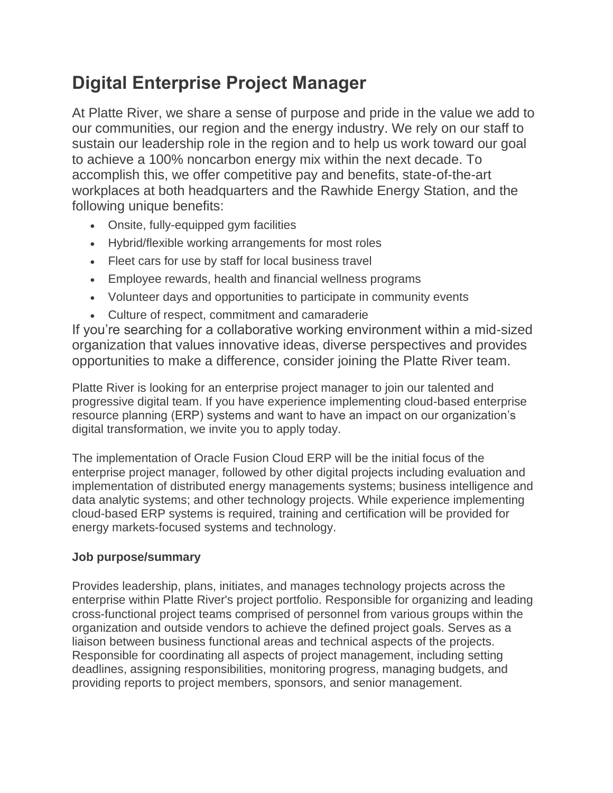# **Digital Enterprise Project Manager**

At Platte River, we share a sense of purpose and pride in the value we add to our communities, our region and the energy industry. We rely on our staff to sustain our leadership role in the region and to help us work toward our goal to achieve a 100% noncarbon energy mix within the next decade. To accomplish this, we offer competitive pay and benefits, state-of-the-art workplaces at both headquarters and the Rawhide Energy Station, and the following unique benefits:

- Onsite, fully-equipped gym facilities
- Hybrid/flexible working arrangements for most roles
- Fleet cars for use by staff for local business travel
- Employee rewards, health and financial wellness programs
- Volunteer days and opportunities to participate in community events
- Culture of respect, commitment and camaraderie

If you're searching for a collaborative working environment within a mid-sized organization that values innovative ideas, diverse perspectives and provides opportunities to make a difference, consider joining the Platte River team.

Platte River is looking for an enterprise project manager to join our talented and progressive digital team. If you have experience implementing cloud-based enterprise resource planning (ERP) systems and want to have an impact on our organization's digital transformation, we invite you to apply today.

The implementation of Oracle Fusion Cloud ERP will be the initial focus of the enterprise project manager, followed by other digital projects including evaluation and implementation of distributed energy managements systems; business intelligence and data analytic systems; and other technology projects. While experience implementing cloud-based ERP systems is required, training and certification will be provided for energy markets-focused systems and technology.

# **Job purpose/summary**

Provides leadership, plans, initiates, and manages technology projects across the enterprise within Platte River's project portfolio. Responsible for organizing and leading cross-functional project teams comprised of personnel from various groups within the organization and outside vendors to achieve the defined project goals. Serves as a liaison between business functional areas and technical aspects of the projects. Responsible for coordinating all aspects of project management, including setting deadlines, assigning responsibilities, monitoring progress, managing budgets, and providing reports to project members, sponsors, and senior management.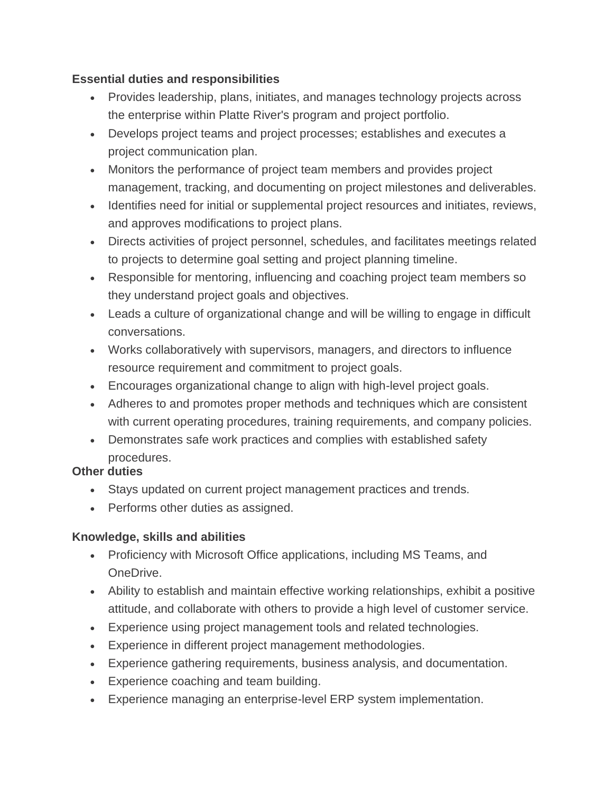## **Essential duties and responsibilities**

- Provides leadership, plans, initiates, and manages technology projects across the enterprise within Platte River's program and project portfolio.
- Develops project teams and project processes; establishes and executes a project communication plan.
- Monitors the performance of project team members and provides project management, tracking, and documenting on project milestones and deliverables.
- Identifies need for initial or supplemental project resources and initiates, reviews, and approves modifications to project plans.
- Directs activities of project personnel, schedules, and facilitates meetings related to projects to determine goal setting and project planning timeline.
- Responsible for mentoring, influencing and coaching project team members so they understand project goals and objectives.
- Leads a culture of organizational change and will be willing to engage in difficult conversations.
- Works collaboratively with supervisors, managers, and directors to influence resource requirement and commitment to project goals.
- Encourages organizational change to align with high-level project goals.
- Adheres to and promotes proper methods and techniques which are consistent with current operating procedures, training requirements, and company policies.
- Demonstrates safe work practices and complies with established safety procedures.

# **Other duties**

- Stays updated on current project management practices and trends.
- Performs other duties as assigned.

# **Knowledge, skills and abilities**

- Proficiency with Microsoft Office applications, including MS Teams, and OneDrive.
- Ability to establish and maintain effective working relationships, exhibit a positive attitude, and collaborate with others to provide a high level of customer service.
- Experience using project management tools and related technologies.
- Experience in different project management methodologies.
- Experience gathering requirements, business analysis, and documentation.
- Experience coaching and team building.
- Experience managing an enterprise-level ERP system implementation.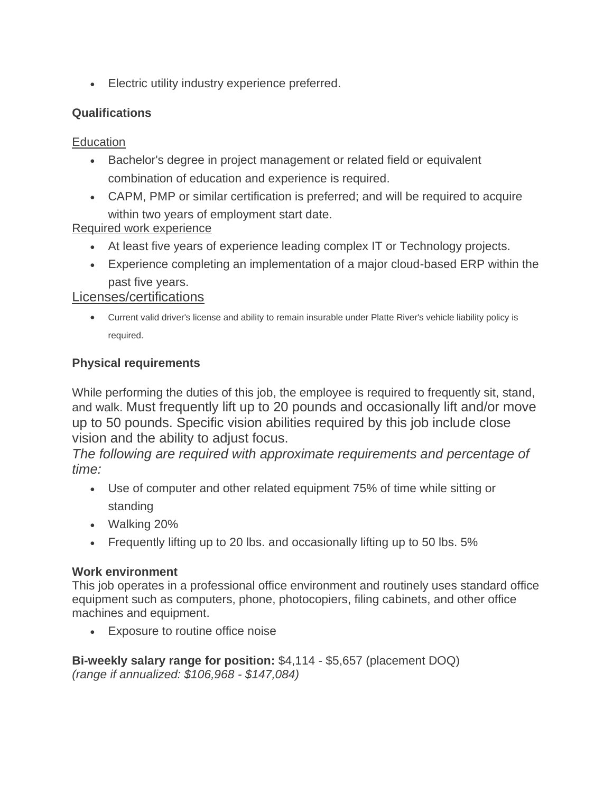• Electric utility industry experience preferred.

## **Qualifications**

#### **Education**

- Bachelor's degree in project management or related field or equivalent combination of education and experience is required.
- CAPM, PMP or similar certification is preferred; and will be required to acquire within two years of employment start date.

# Required work experience

- At least five years of experience leading complex IT or Technology projects.
- Experience completing an implementation of a major cloud-based ERP within the past five years.

## Licenses/certifications

• Current valid driver's license and ability to remain insurable under Platte River's vehicle liability policy is required.

## **Physical requirements**

While performing the duties of this job, the employee is required to frequently sit, stand, and walk. Must frequently lift up to 20 pounds and occasionally lift and/or move up to 50 pounds. Specific vision abilities required by this job include close vision and the ability to adjust focus.

*The following are required with approximate requirements and percentage of time:*

- Use of computer and other related equipment 75% of time while sitting or standing
- Walking 20%
- Frequently lifting up to 20 lbs. and occasionally lifting up to 50 lbs. 5%

#### **Work environment**

This job operates in a professional office environment and routinely uses standard office equipment such as computers, phone, photocopiers, filing cabinets, and other office machines and equipment.

• Exposure to routine office noise

**Bi-weekly salary range for position:** \$4,114 - \$5,657 (placement DOQ) *(range if annualized: \$106,968 - \$147,084)*